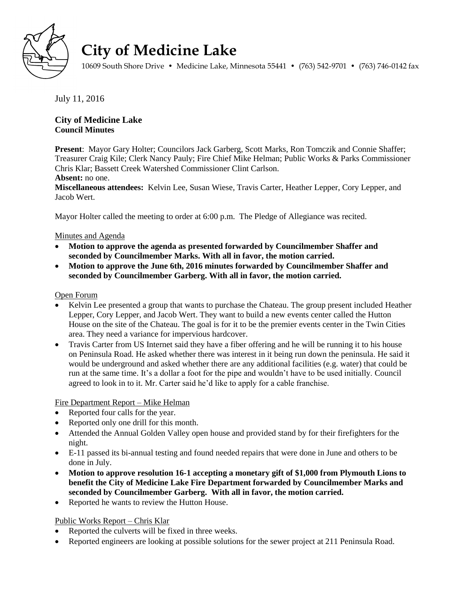

# **City of Medicine Lake**

10609 South Shore Drive • Medicine Lake, Minnesota 55441 • (763) 542-9701 • (763) 746-0142 fax

July 11, 2016

# **City of Medicine Lake Council Minutes**

**Present**: Mayor Gary Holter; Councilors Jack Garberg, Scott Marks, Ron Tomczik and Connie Shaffer; Treasurer Craig Kile; Clerk Nancy Pauly; Fire Chief Mike Helman; Public Works & Parks Commissioner Chris Klar; Bassett Creek Watershed Commissioner Clint Carlson.

# **Absent:** no one.

**Miscellaneous attendees:** Kelvin Lee, Susan Wiese, Travis Carter, Heather Lepper, Cory Lepper, and Jacob Wert.

Mayor Holter called the meeting to order at 6:00 p.m. The Pledge of Allegiance was recited.

# Minutes and Agenda

- **Motion to approve the agenda as presented forwarded by Councilmember Shaffer and seconded by Councilmember Marks. With all in favor, the motion carried.**
- **Motion to approve the June 6th, 2016 minutes forwarded by Councilmember Shaffer and seconded by Councilmember Garberg. With all in favor, the motion carried.**

# Open Forum

- Kelvin Lee presented a group that wants to purchase the Chateau. The group present included Heather Lepper, Cory Lepper, and Jacob Wert. They want to build a new events center called the Hutton House on the site of the Chateau. The goal is for it to be the premier events center in the Twin Cities area. They need a variance for impervious hardcover.
- Travis Carter from US Internet said they have a fiber offering and he will be running it to his house on Peninsula Road. He asked whether there was interest in it being run down the peninsula. He said it would be underground and asked whether there are any additional facilities (e.g. water) that could be run at the same time. It's a dollar a foot for the pipe and wouldn't have to be used initially. Council agreed to look in to it. Mr. Carter said he'd like to apply for a cable franchise.

# Fire Department Report – Mike Helman

- Reported four calls for the year.
- Reported only one drill for this month.
- Attended the Annual Golden Valley open house and provided stand by for their firefighters for the night.
- E-11 passed its bi-annual testing and found needed repairs that were done in June and others to be done in July.
- **Motion to approve resolution 16-1 accepting a monetary gift of \$1,000 from Plymouth Lions to benefit the City of Medicine Lake Fire Department forwarded by Councilmember Marks and seconded by Councilmember Garberg. With all in favor, the motion carried.**
- Reported he wants to review the Hutton House.

# Public Works Report – Chris Klar

- Reported the culverts will be fixed in three weeks.
- Reported engineers are looking at possible solutions for the sewer project at 211 Peninsula Road.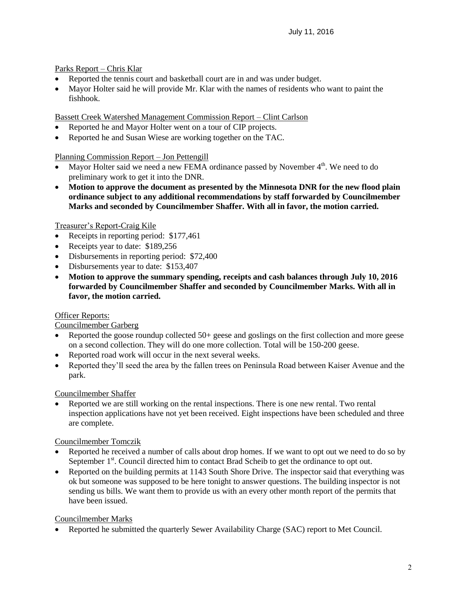Parks Report – Chris Klar

- Reported the tennis court and basketball court are in and was under budget.
- Mayor Holter said he will provide Mr. Klar with the names of residents who want to paint the fishhook.

Bassett Creek Watershed Management Commission Report – Clint Carlson

- Reported he and Mayor Holter went on a tour of CIP projects.
- Reported he and Susan Wiese are working together on the TAC.

Planning Commission Report – Jon Pettengill

- Mayor Holter said we need a new FEMA ordinance passed by November  $4<sup>th</sup>$ . We need to do preliminary work to get it into the DNR.
- **Motion to approve the document as presented by the Minnesota DNR for the new flood plain ordinance subject to any additional recommendations by staff forwarded by Councilmember Marks and seconded by Councilmember Shaffer. With all in favor, the motion carried.**

Treasurer's Report-Craig Kile

- Receipts in reporting period: \$177,461
- Receipts year to date: \$189,256
- Disbursements in reporting period: \$72,400
- Disbursements year to date: \$153,407
- **Motion to approve the summary spending, receipts and cash balances through July 10, 2016 forwarded by Councilmember Shaffer and seconded by Councilmember Marks. With all in favor, the motion carried.**

#### Officer Reports:

#### Councilmember Garberg

- Reported the goose roundup collected 50+ geese and goslings on the first collection and more geese on a second collection. They will do one more collection. Total will be 150-200 geese.
- Reported road work will occur in the next several weeks.
- Reported they'll seed the area by the fallen trees on Peninsula Road between Kaiser Avenue and the park.

#### Councilmember Shaffer

 Reported we are still working on the rental inspections. There is one new rental. Two rental inspection applications have not yet been received. Eight inspections have been scheduled and three are complete.

# Councilmember Tomczik

- Reported he received a number of calls about drop homes. If we want to opt out we need to do so by September  $1<sup>st</sup>$ . Council directed him to contact Brad Scheib to get the ordinance to opt out.
- Reported on the building permits at 1143 South Shore Drive. The inspector said that everything was ok but someone was supposed to be here tonight to answer questions. The building inspector is not sending us bills. We want them to provide us with an every other month report of the permits that have been issued.

#### Councilmember Marks

Reported he submitted the quarterly Sewer Availability Charge (SAC) report to Met Council.